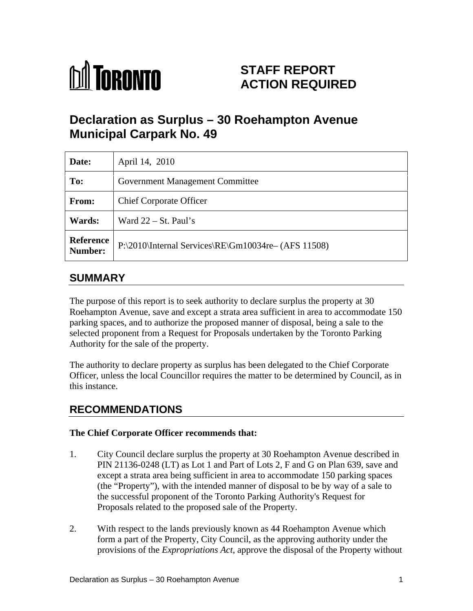

# **STAFF REPORT ACTION REQUIRED**

# **Declaration as Surplus – 30 Roehampton Avenue Municipal Carpark No. 49**

| Date:     | April 14, 2010                                              |
|-----------|-------------------------------------------------------------|
| To:       | <b>Government Management Committee</b>                      |
| From:     | <b>Chief Corporate Officer</b>                              |
| Wards:    | Ward $22 - St. Paul's$                                      |
| Reference | $\vert$ P:\2010\Internal Services\RE\Gm10034re- (AFS 11508) |

### **SUMMARY**

The purpose of this report is to seek authority to declare surplus the property at 30 Roehampton Avenue, save and except a strata area sufficient in area to accommodate 150 parking spaces, and to authorize the proposed manner of disposal, being a sale to the selected proponent from a Request for Proposals undertaken by the Toronto Parking Authority for the sale of the property. The authority to declare property as surplus has been delegated to the Chief Corporate

Officer, unless the local Councillor requires the matter to be determined by Council, as in this instance.

### **RECOMMENDATIONS**

#### **The Chief Corporate Officer recommends that:**

- 1. City Council declare surplus the property at 30 Roehampton Avenue described in PIN 21136-0248 (LT) as Lot 1 and Part of Lots 2, F and G on Plan 639, save and except a strata area being sufficient in area to accommodate 150 parking spaces (the "Property"), with the intended manner of disposal to be by way of a sale to the successful proponent of the Toronto Parking Authority's Request for Proposals related to the proposed sale of the Property.
- 2. With respect to the lands previously known as 44 Roehampton Avenue which form a part of the Property, City Council, as the approving authority under the provisions of the *Expropriations Act*, approve the disposal of the Property without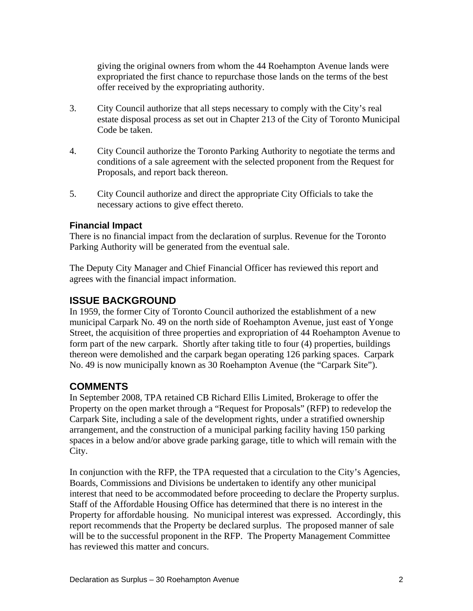giving the original owners from whom the 44 Roehampton Avenue lands were expropriated the first chance to repurchase those lands on the terms of the best offer received by the expropriating authority.

- 3. City Council authorize that all steps necessary to comply with the City's real estate disposal process as set out in Chapter 213 of the City of Toronto Municipal Code be taken.
- 4. City Council authorize the Toronto Parking Authority to negotiate the terms and conditions of a sale agreement with the selected proponent from the Request for Proposals, and report back thereon.
- 5. City Council authorize and direct the appropriate City Officials to take the necessary actions to give effect thereto.

#### **Financial Impact**

There is no financial impact from the declaration of surplus. Revenue for the Toronto Parking Authority will be generated from the eventual sale.

The Deputy City Manager and Chief Financial Officer has reviewed this report and agrees with the financial impact information.

#### **ISSUE BACKGROUND**

In 1959, the former City of Toronto Council authorized the establishment of a new municipal Carpark No. 49 on the north side of Roehampton Avenue, just east of Yonge Street, the acquisition of three properties and expropriation of 44 Roehampton Avenue to form part of the new carpark. Shortly after taking title to four (4) properties, buildings thereon were demolished and the carpark began operating 126 parking spaces. Carpark No. 49 is now municipally known as 30 Roehampton Avenue (the "Carpark Site").

### **COMMENTS**

In September 2008, TPA retained CB Richard Ellis Limited, Brokerage to offer the Property on the open market through a "Request for Proposals" (RFP) to redevelop the Carpark Site, including a sale of the development rights, under a stratified ownership arrangement, and the construction of a municipal parking facility having 150 parking spaces in a below and/or above grade parking garage, title to which will remain with the City.

In conjunction with the RFP, the TPA requested that a circulation to the City's Agencies, Boards, Commissions and Divisions be undertaken to identify any other municipal interest that need to be accommodated before proceeding to declare the Property surplus. Staff of the Affordable Housing Office has determined that there is no interest in the Property for affordable housing. No municipal interest was expressed. Accordingly, this report recommends that the Property be declared surplus. The proposed manner of sale will be to the successful proponent in the RFP. The Property Management Committee has reviewed this matter and concurs.